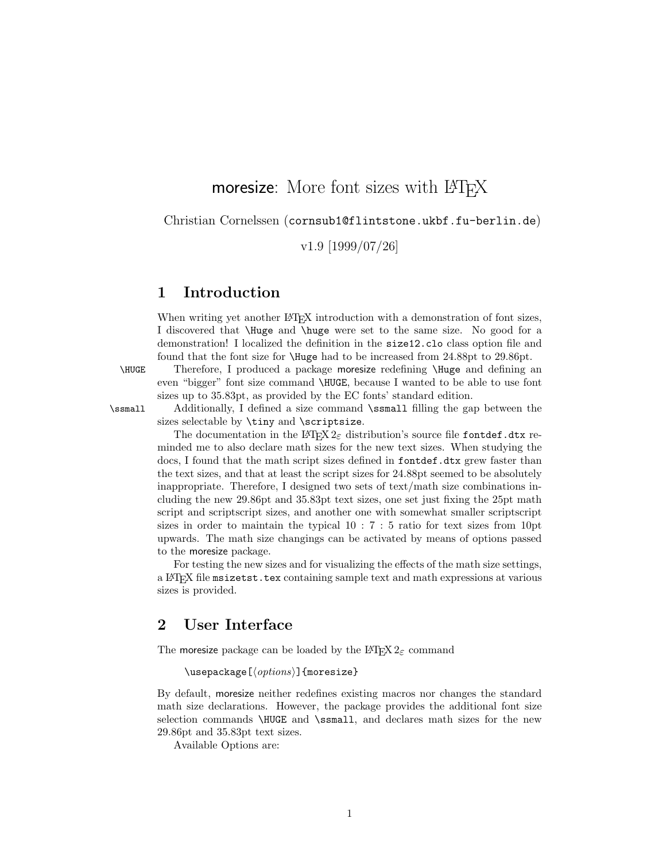# moresize: More font sizes with LAT<sub>EX</sub>

Christian Cornelssen (cornsub1@flintstone.ukbf.fu-berlin.de)

v1.9 [1999/07/26]

### 1 Introduction

When writing yet another LATEX introduction with a demonstration of font sizes, I discovered that \Huge and \huge were set to the same size. No good for a demonstration! I localized the definition in the size12.clo class option file and found that the font size for \Huge had to be increased from 24.88pt to 29.86pt.

\HUGE Therefore, I produced a package moresize redefining \Huge and defining an even "bigger" font size command \HUGE, because I wanted to be able to use font sizes up to 35.83pt, as provided by the EC fonts' standard edition.

\ssmall Additionally, I defined a size command \ssmall filling the gap between the sizes selectable by \tiny and \scriptsize.

> The documentation in the LAT<sub>EX</sub>  $2\varepsilon$  distribution's source file fontdef.dtx reminded me to also declare math sizes for the new text sizes. When studying the docs, I found that the math script sizes defined in fontdef.dtx grew faster than the text sizes, and that at least the script sizes for 24.88pt seemed to be absolutely inappropriate. Therefore, I designed two sets of text/math size combinations including the new 29.86pt and 35.83pt text sizes, one set just fixing the 25pt math script and scriptscript sizes, and another one with somewhat smaller scriptscript sizes in order to maintain the typical 10 : 7 : 5 ratio for text sizes from 10pt upwards. The math size changings can be activated by means of options passed to the moresize package.

> For testing the new sizes and for visualizing the effects of the math size settings, a LATEX file msizetst.tex containing sample text and math expressions at various sizes is provided.

# 2 User Interface

The moresize package can be loaded by the LAT<sub>E</sub>X  $2\varepsilon$  command

 $\text{usesC}(\text{options})$ ]{moresize}

By default, moresize neither redefines existing macros nor changes the standard math size declarations. However, the package provides the additional font size selection commands \HUGE and \ssmall, and declares math sizes for the new 29.86pt and 35.83pt text sizes.

Available Options are: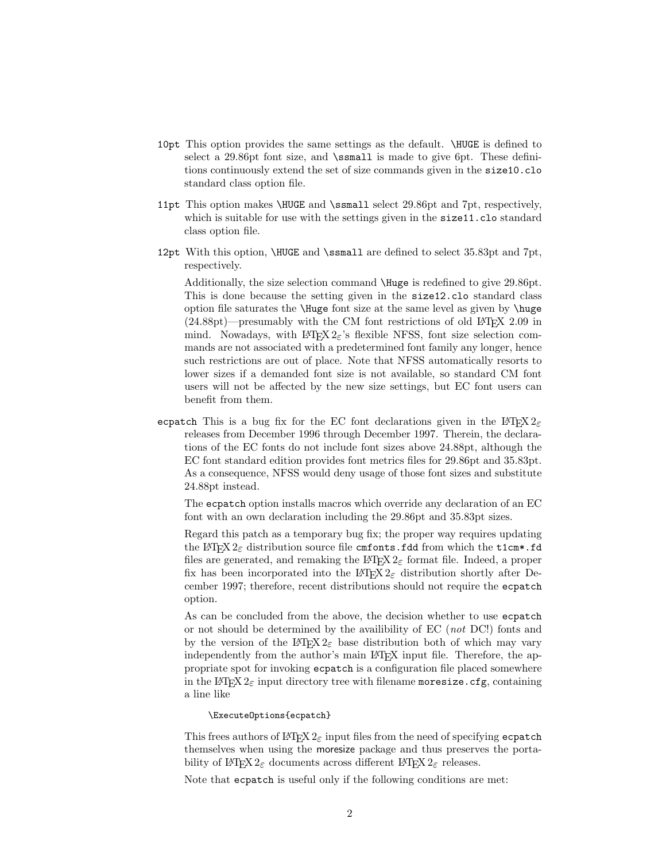- 10pt This option provides the same settings as the default. \HUGE is defined to select a 29.86pt font size, and \ssmall is made to give 6pt. These definitions continuously extend the set of size commands given in the size10.clo standard class option file.
- 11pt This option makes \HUGE and \ssmall select 29.86pt and 7pt, respectively, which is suitable for use with the settings given in the size 11.clo standard class option file.
- 12pt With this option, \HUGE and \ssmall are defined to select 35.83pt and 7pt, respectively.

Additionally, the size selection command \Huge is redefined to give 29.86pt. This is done because the setting given in the size12.clo standard class option file saturates the \Huge font size at the same level as given by \huge  $(24.88pt)$ —presumably with the CM font restrictions of old LAT<sub>EX</sub> 2.09 in mind. Nowadays, with  $\text{LATEX } 2\varepsilon$ 's flexible NFSS, font size selection commands are not associated with a predetermined font family any longer, hence such restrictions are out of place. Note that NFSS automatically resorts to lower sizes if a demanded font size is not available, so standard CM font users will not be affected by the new size settings, but EC font users can benefit from them.

ecpatch This is a bug fix for the EC font declarations given in the LATEX  $2\varepsilon$ releases from December 1996 through December 1997. Therein, the declarations of the EC fonts do not include font sizes above 24.88pt, although the EC font standard edition provides font metrics files for 29.86pt and 35.83pt. As a consequence, NFSS would deny usage of those font sizes and substitute 24.88pt instead.

The ecpatch option installs macros which override any declaration of an EC font with an own declaration including the 29.86pt and 35.83pt sizes.

Regard this patch as a temporary bug fix; the proper way requires updating the LAT<sub>EX</sub>  $2\varepsilon$  distribution source file cmfonts.fdd from which the t1cm\*.fd files are generated, and remaking the L<sup>AT</sup>EX  $2\varepsilon$  format file. Indeed, a proper fix has been incorporated into the  $\text{LATEX} 2_{\epsilon}$  distribution shortly after December 1997; therefore, recent distributions should not require the ecpatch option.

As can be concluded from the above, the decision whether to use ecpatch or not should be determined by the availibility of EC (not DC!) fonts and by the version of the LAT<sub>EX</sub>  $2\varepsilon$  base distribution both of which may vary independently from the author's main LAT<sub>E</sub>X input file. Therefore, the appropriate spot for invoking ecpatch is a configuration file placed somewhere in the L<sup>A</sup>T<sub>E</sub>X  $2\varepsilon$  input directory tree with filename moresize.cfg, containing a line like

\ExecuteOptions{ecpatch}

This frees authors of LAT<sub>E</sub>X  $2<sub>\epsilon</sub>$  input files from the need of specifying ecpatch themselves when using the moresize package and thus preserves the portability of LAT<sub>E</sub>X  $2_{\varepsilon}$  documents across different LAT<sub>E</sub>X  $2_{\varepsilon}$  releases.

Note that ecpatch is useful only if the following conditions are met: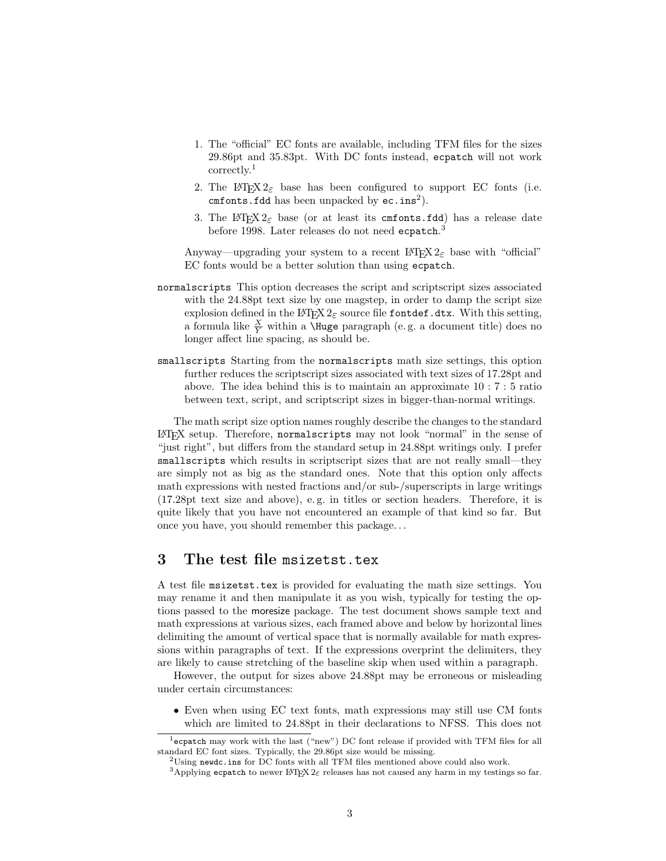- 1. The "official" EC fonts are available, including TFM files for the sizes 29.86pt and 35.83pt. With DC fonts instead, ecpatch will not work correctly.<sup>1</sup>
- 2. The LAT<sub>E</sub>X  $2\varepsilon$  base has been configured to support EC fonts (i.e.  $cm$ fonts.fdd has been unpacked by  $ec.ins<sup>2</sup>$ ).
- 3. The L<sup>A</sup>T<sub>E</sub>X 2<sub> $\varepsilon$ </sub> base (or at least its cmfonts.fdd) has a release date before 1998. Later releases do not need  $\mathtt{ecpatch.}^3$

Anyway—upgrading your system to a recent LATEX  $2\varepsilon$  base with "official" EC fonts would be a better solution than using ecpatch.

- normalscripts This option decreases the script and scriptscript sizes associated with the 24.88pt text size by one magstep, in order to damp the script size explosion defined in the LATEX  $2\varepsilon$  source file fontdef.dtx. With this setting, a formula like  $\frac{X}{Y}$  within a \Huge paragraph (e.g. a document title) does no longer affect line spacing, as should be.
- smallscripts Starting from the normalscripts math size settings, this option further reduces the scriptscript sizes associated with text sizes of 17.28pt and above. The idea behind this is to maintain an approximate 10 : 7 : 5 ratio between text, script, and scriptscript sizes in bigger-than-normal writings.

The math script size option names roughly describe the changes to the standard LATEX setup. Therefore, normalscripts may not look "normal" in the sense of "just right", but differs from the standard setup in 24.88pt writings only. I prefer smallscripts which results in scriptscript sizes that are not really small—they are simply not as big as the standard ones. Note that this option only affects math expressions with nested fractions and/or sub-/superscripts in large writings (17.28pt text size and above), e. g. in titles or section headers. Therefore, it is quite likely that you have not encountered an example of that kind so far. But once you have, you should remember this package. . .

### 3 The test file msizetst.tex

A test file msizetst.tex is provided for evaluating the math size settings. You may rename it and then manipulate it as you wish, typically for testing the options passed to the moresize package. The test document shows sample text and math expressions at various sizes, each framed above and below by horizontal lines delimiting the amount of vertical space that is normally available for math expressions within paragraphs of text. If the expressions overprint the delimiters, they are likely to cause stretching of the baseline skip when used within a paragraph.

However, the output for sizes above 24.88pt may be erroneous or misleading under certain circumstances:

• Even when using EC text fonts, math expressions may still use CM fonts which are limited to 24.88pt in their declarations to NFSS. This does not

<sup>&</sup>lt;sup>1</sup>ecpatch may work with the last ("new") DC font release if provided with TFM files for all standard EC font sizes. Typically, the 29.86pt size would be missing.

<sup>&</sup>lt;sup>2</sup>Using newdc.ins for DC fonts with all TFM files mentioned above could also work.

<sup>&</sup>lt;sup>3</sup>Applying ecpatch to newer LATEX  $2\varepsilon$  releases has not caused any harm in my testings so far.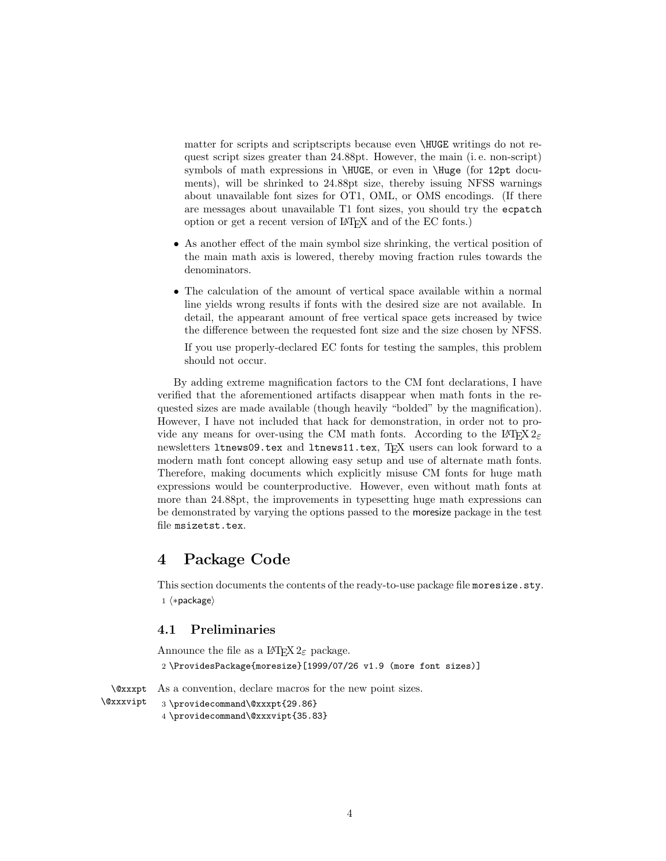matter for scripts and scriptscripts because even \HUGE writings do not request script sizes greater than 24.88pt. However, the main (i. e. non-script) symbols of math expressions in \HUGE, or even in \Huge (for 12pt documents), will be shrinked to 24.88pt size, thereby issuing NFSS warnings about unavailable font sizes for OT1, OML, or OMS encodings. (If there are messages about unavailable T1 font sizes, you should try the ecpatch option or get a recent version of LATEX and of the EC fonts.)

- As another effect of the main symbol size shrinking, the vertical position of the main math axis is lowered, thereby moving fraction rules towards the denominators.
- The calculation of the amount of vertical space available within a normal line yields wrong results if fonts with the desired size are not available. In detail, the appearant amount of free vertical space gets increased by twice the difference between the requested font size and the size chosen by NFSS.

If you use properly-declared EC fonts for testing the samples, this problem should not occur.

By adding extreme magnification factors to the CM font declarations, I have verified that the aforementioned artifacts disappear when math fonts in the requested sizes are made available (though heavily "bolded" by the magnification). However, I have not included that hack for demonstration, in order not to provide any means for over-using the CM math fonts. According to the L<sup>AT</sup>EX  $2\varepsilon$ newsletters ltnews09.tex and ltnews11.tex, TEX users can look forward to a modern math font concept allowing easy setup and use of alternate math fonts. Therefore, making documents which explicitly misuse CM fonts for huge math expressions would be counterproductive. However, even without math fonts at more than 24.88pt, the improvements in typesetting huge math expressions can be demonstrated by varying the options passed to the moresize package in the test file msizetst.tex.

### 4 Package Code

This section documents the contents of the ready-to-use package file moresize.sty. 1  $\langle *package \rangle$ 

#### 4.1 Preliminaries

Announce the file as a  $\text{LATEX } 2_{\epsilon}$  package.

2 \ProvidesPackage{moresize}[1999/07/26 v1.9 (more font sizes)]

\@xxxpt As a convention, declare macros for the new point sizes.

```
\@xxxvipt
            3 \providecommand\@xxxpt{29.86}
```
4 \providecommand\@xxxvipt{35.83}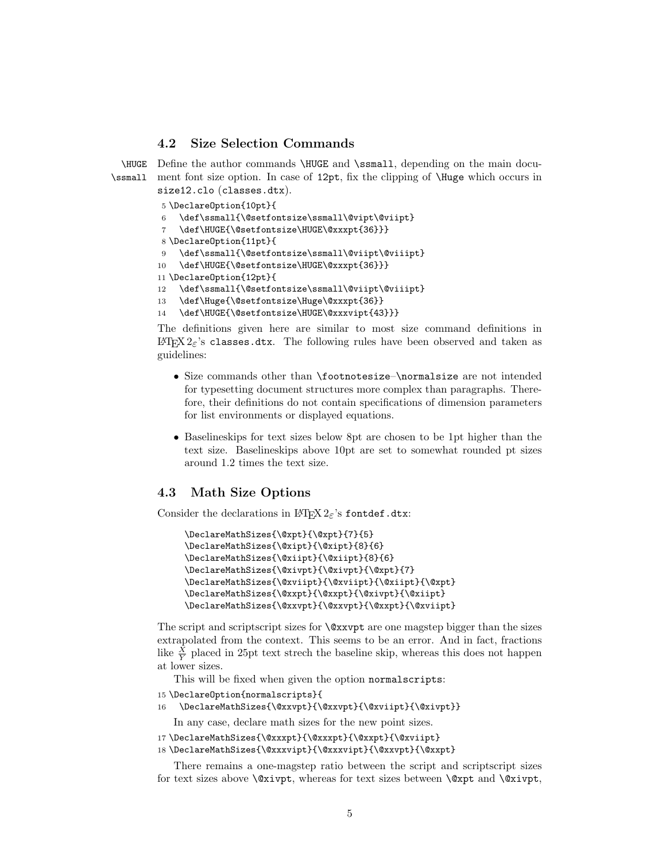#### 4.2 Size Selection Commands

\HUGE Define the author commands \HUGE and \ssmall, depending on the main docu-\ssmall ment font size option. In case of 12pt, fix the clipping of \Huge which occurs in size12.clo (classes.dtx).

```
5 \DeclareOption{10pt}{
6 \def\ssmall{\@setfontsize\ssmall\@vipt\@viipt}
    \def\HUGE{\@setfontsize\HUGE\@xxxpt{36}}}
8 \DeclareOption{11pt}{
9 \def\ssmall{\@setfontsize\ssmall\@viipt\@viiipt}
10 \def\HUGE{\@setfontsize\HUGE\@xxxpt{36}}}
11 \DeclareOption{12pt}{
12 \def\ssmall{\@setfontsize\ssmall\@viipt\@viiipt}
13 \def\Huge{\@setfontsize\Huge\@xxxpt{36}}
14 \def\HUGE{\@setfontsize\HUGE\@xxxvipt{43}}}
```
The definitions given here are similar to most size command definitions in  $\angle ETRX 2 \epsilon$ 's classes.dtx. The following rules have been observed and taken as guidelines:

- Size commands other than \footnotesize–\normalsize are not intended for typesetting document structures more complex than paragraphs. Therefore, their definitions do not contain specifications of dimension parameters for list environments or displayed equations.
- Baselineskips for text sizes below 8pt are chosen to be 1pt higher than the text size. Baselineskips above 10pt are set to somewhat rounded pt sizes around 1.2 times the text size.

#### 4.3 Math Size Options

Consider the declarations in LATEX  $2\varepsilon$ 's fontdef.dtx:

```
\DeclareMathSizes{\@xpt}{\@xpt}{7}{5}
\DeclareMathSizes{\@xipt}{\@xipt}{8}{6}
\DeclareMathSizes{\@xiipt}{\@xiipt}{8}{6}
\DeclareMathSizes{\@xivpt}{\@xivpt}{\@xpt}{7}
\DeclareMathSizes{\@xviipt}{\@xviipt}{\@xiipt}{\@xpt}
\DeclareMathSizes{\@xxpt}{\@xxpt}{\@xivpt}{\@xiipt}
\DeclareMathSizes{\@xxvpt}{\@xxvpt}{\@xxpt}{\@xviipt}
```
The script and scriptscript sizes for \@xxvpt are one magstep bigger than the sizes extrapolated from the context. This seems to be an error. And in fact, fractions like  $\frac{X}{Y}$  placed in 25pt text strech the baseline skip, whereas this does not happen at lower sizes.

This will be fixed when given the option normalscripts:

```
15 \DeclareOption{normalscripts}{
```

```
16 \DeclareMathSizes{\@xxvpt}{\@xxvpt}{\@xviipt}{\@xivpt}}
```
In any case, declare math sizes for the new point sizes.

```
17 \DeclareMathSizes{\@xxxpt}{\@xxxpt}{\@xxpt}{\@xviipt}
```

```
18 \DeclareMathSizes{\@xxxvipt}{\@xxxvipt}{\@xxvpt}{\@xxpt}
```
There remains a one-magstep ratio between the script and scriptscript sizes for text sizes above  $\varphi$ xivpt, whereas for text sizes between  $\varphi$ xpt and  $\varphi$ xivpt,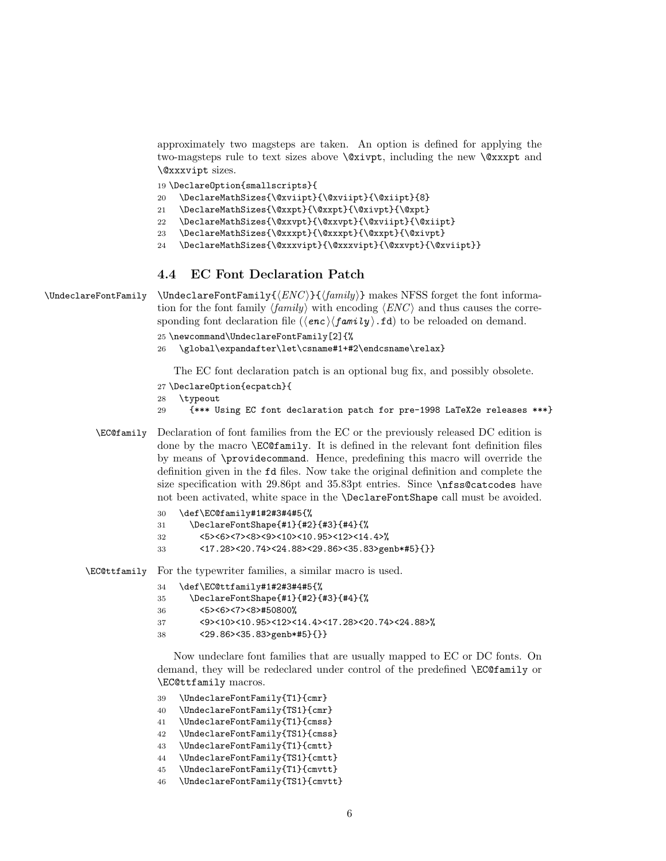approximately two magsteps are taken. An option is defined for applying the two-magsteps rule to text sizes above  $\&$ xivpt, including the new  $\&$ xxpt and \@xxxvipt sizes.

\DeclareOption{smallscripts}{

- \DeclareMathSizes{\@xviipt}{\@xviipt}{\@xiipt}{8}
- \DeclareMathSizes{\@xxpt}{\@xxpt}{\@xivpt}{\@xpt}
- \DeclareMathSizes{\@xxvpt}{\@xxvpt}{\@xviipt}{\@xiipt}
- \DeclareMathSizes{\@xxxpt}{\@xxxpt}{\@xxpt}{\@xivpt}
- \DeclareMathSizes{\@xxxvipt}{\@xxxvipt}{\@xxvpt}{\@xviipt}}

#### 4.4 EC Font Declaration Patch

 $\Upsilon$  \UndeclareFontFamily \UndeclareFontFamily{ $\langle ENC \rangle$ }{ $\langle family \rangle$ } makes NFSS forget the font information for the font family  $\langle family \rangle$  with encoding  $\langle ENC \rangle$  and thus causes the corresponding font declaration file  $(\langle enc \rangle \langle f a m i v \rangle \cdot fd)$  to be reloaded on demand.

```
25 \newcommand\UndeclareFontFamily[2]{%
```

```
26 \global\expandafter\let\csname#1+#2\endcsname\relax}
```
The EC font declaration patch is an optional bug fix, and possibly obsolete.

- \DeclareOption{ecpatch}{
- \typeout
- {\*\*\* Using EC font declaration patch for pre-1998 LaTeX2e releases \*\*\*}
- \EC@family Declaration of font families from the EC or the previously released DC edition is done by the macro \EC@family. It is defined in the relevant font definition files by means of \providecommand. Hence, predefining this macro will override the definition given in the fd files. Now take the original definition and complete the size specification with 29.86pt and 35.83pt entries. Since \nfss@catcodes have not been activated, white space in the \DeclareFontShape call must be avoided.

| 30 | \def\EC@family#1#2#3#4#5{%                        |
|----|---------------------------------------------------|
| 31 | \DeclareFontShape{#1}{#2}{#3}{#4}{%               |
| 32 | <5><6><7><8><9><10><10.95><12><14.4>%             |
| 33 | $<$ 17.28><20.74><24.88><29.86><35.83>genb*#5}{}} |

\EC@ttfamily For the typewriter families, a similar macro is used.

```
34 \def\EC@ttfamily#1#2#3#4#5{%
```

```
35 \DeclareFontShape{#1}{#2}{#3}{#4}{%
```

```
36 <5><6><7><8>#50800%
```

```
37 <9><10><10.95><12><14.4><17.28><20.74><24.88>%
```

```
38 <29.86><35.83>genb*#5}{}}
```
Now undeclare font families that are usually mapped to EC or DC fonts. On demand, they will be redeclared under control of the predefined **\EC@family** or \EC@ttfamily macros.

```
39 \UndeclareFontFamily{T1}{cmr}
```
- \UndeclareFontFamily{TS1}{cmr}
- \UndeclareFontFamily{T1}{cmss}
- \UndeclareFontFamily{TS1}{cmss}
- \UndeclareFontFamily{T1}{cmtt}
- \UndeclareFontFamily{TS1}{cmtt}
- \UndeclareFontFamily{T1}{cmvtt}
- \UndeclareFontFamily{TS1}{cmvtt}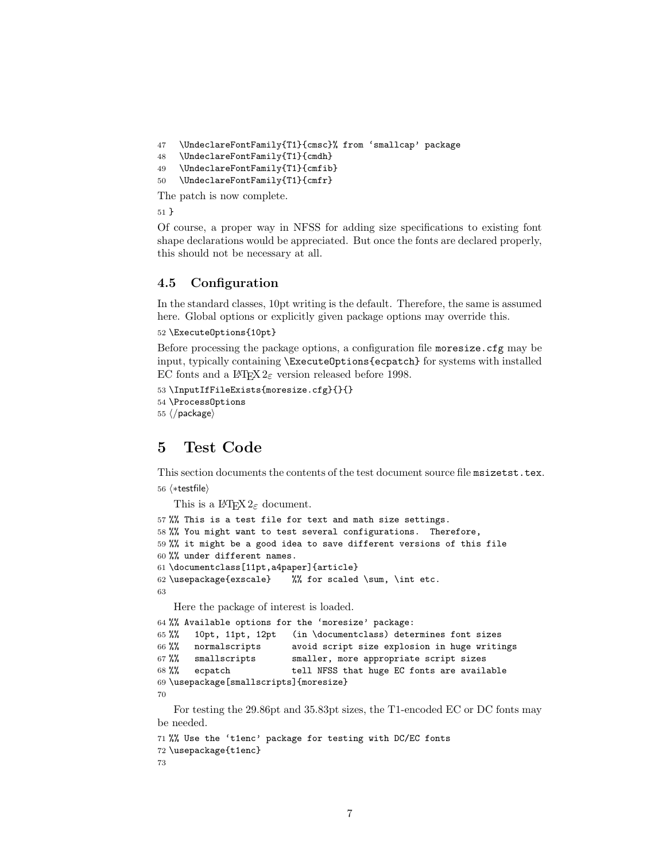```
47 \UndeclareFontFamily{T1}{cmsc}% from 'smallcap' package
48 \UndeclareFontFamily{T1}{cmdh}
49 \UndeclareFontFamily{T1}{cmfib}
50 \UndeclareFontFamily{T1}{cmfr}
The patch is now complete.
```
51 }

Of course, a proper way in NFSS for adding size specifications to existing font shape declarations would be appreciated. But once the fonts are declared properly, this should not be necessary at all.

#### 4.5 Configuration

In the standard classes, 10pt writing is the default. Therefore, the same is assumed here. Global options or explicitly given package options may override this.

```
52 \ExecuteOptions{10pt}
```
Before processing the package options, a configuration file moresize.cfg may be input, typically containing \ExecuteOptions{ecpatch} for systems with installed EC fonts and a  $\text{LATEX} 2_{\varepsilon}$  version released before 1998.

```
53 \InputIfFileExists{moresize.cfg}{}{}
54 \ProcessOptions
55 \langle/package\rangle
```
# 5 Test Code

This section documents the contents of the test document source file msizetst.tex. 56  $\langle *testfile \rangle$ 

```
This is a \text{LATEX } 2_{\varepsilon} document.
```

```
57 %% This is a test file for text and math size settings.
58 %% You might want to test several configurations. Therefore,
59 %% it might be a good idea to save different versions of this file
60 %% under different names.
61 \documentclass[11pt,a4paper]{article}
62 \usepackage{exscale} %% for scaled \sum, \int etc.
63
```
Here the package of interest is loaded.

```
64 %% Available options for the 'moresize' package:
65 %% 10pt, 11pt, 12pt (in \documentclass) determines font sizes
66 %% normalscripts avoid script size explosion in huge writings 67 %% smallscripts smaller, more appropriate script sizes
       smallscripts smaller, more appropriate script sizes
68 %% ecpatch tell NFSS that huge EC fonts are available
69 \usepackage[smallscripts]{moresize}
70
```
For testing the 29.86pt and 35.83pt sizes, the T1-encoded EC or DC fonts may be needed.

```
71 %% Use the 't1enc' package for testing with DC/EC fonts
72 \usepackage{t1enc}
73
```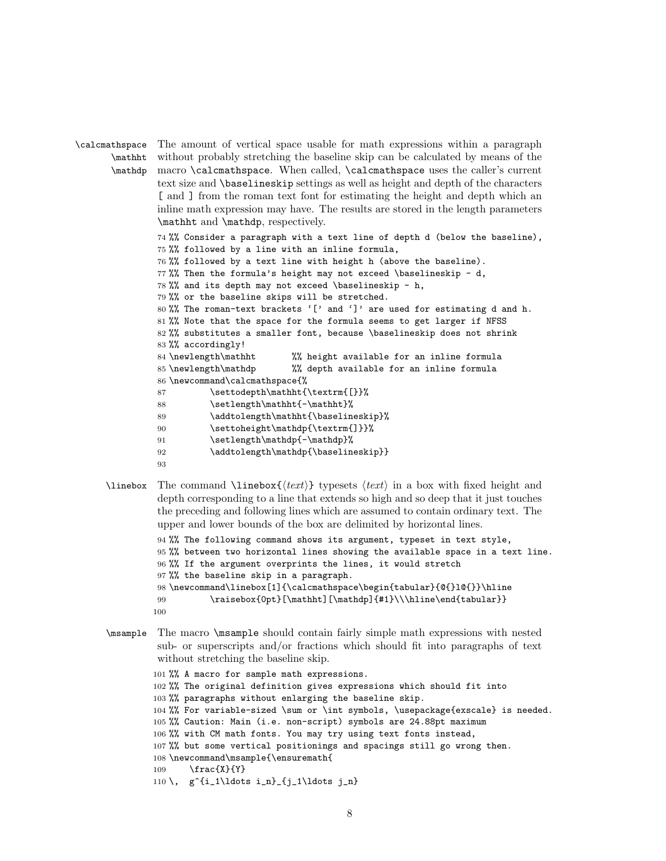```
\calcmathspace
      \mathht
       \mathdp
macro \calcmathspace. When called, \calcmathspace uses the caller's current
               The amount of vertical space usable for math expressions within a paragraph
               without probably stretching the baseline skip can be calculated by means of the
               text size and \baselineskip settings as well as height and depth of the characters
               [ and ] from the roman text font for estimating the height and depth which an
               inline math expression may have. The results are stored in the length parameters
               \mathht and \mathdp, respectively.
               74 %% Consider a paragraph with a text line of depth d (below the baseline),
               75 %% followed by a line with an inline formula,
               76 %% followed by a text line with height h (above the baseline).
               77 %% Then the formula's height may not exceed \baselineskip - d,
               78 %% and its depth may not exceed \baselineskip - h,
               79 %% or the baseline skips will be stretched.
               80 %% The roman-text brackets '[' and ']' are used for estimating d and h.
               81 %% Note that the space for the formula seems to get larger if NFSS
               82 %% substitutes a smaller font, because \baselineskip does not shrink
               83 %% accordingly!
               84 \newlength\mathht %% height available for an inline formula
               85 \newlength\mathdp %% depth available for an inline formula
               86 \newcommand\calcmathspace{%
               87 \settodepth\mathht{\textrm{[}}%
               88 \setlength\mathht{-\mathht}%
               89 \addtolength\mathht{\baselineskip}%
               90 \settoheight\mathdp{\textrm{]}}%
               91 \setlength\mathdp{-\mathdp}%
               92 \addtolength\mathdp{\baselineskip}}
               93
```
\linebox The command \linebox{ $\text{text} \text{ is the rate of } t$  in a box with fixed height and depth corresponding to a line that extends so high and so deep that it just touches the preceding and following lines which are assumed to contain ordinary text. The upper and lower bounds of the box are delimited by horizontal lines.

```
94 %% The following command shows its argument, typeset in text style,
95 %% between two horizontal lines showing the available space in a text line.
96 %% If the argument overprints the lines, it would stretch
97 %% the baseline skip in a paragraph.
98 \newcommand\linebox[1]{\calcmathspace\begin{tabular}{@{}l@{}}\hline
99 \raisebox{0pt}[\mathht][\mathdp]{#1}\\\hline\end{tabular}}
100
```
\msample The macro \msample should contain fairly simple math expressions with nested sub- or superscripts and/or fractions which should fit into paragraphs of text without stretching the baseline skip.

```
101 %% A macro for sample math expressions.
102 %% The original definition gives expressions which should fit into
103 %% paragraphs without enlarging the baseline skip.
104 %% For variable-sized \sum or \int symbols, \usepackage{exscale} is needed.
105 %% Caution: Main (i.e. non-script) symbols are 24.88pt maximum
106 %% with CM math fonts. You may try using text fonts instead,
107 %% but some vertical positionings and spacings still go wrong then.
108 \newcommand\msample{\ensuremath{
109 \frac{X}{Y}
110 \, g^{i_1\ldots i_n}_{j_1\ldots j_n}
```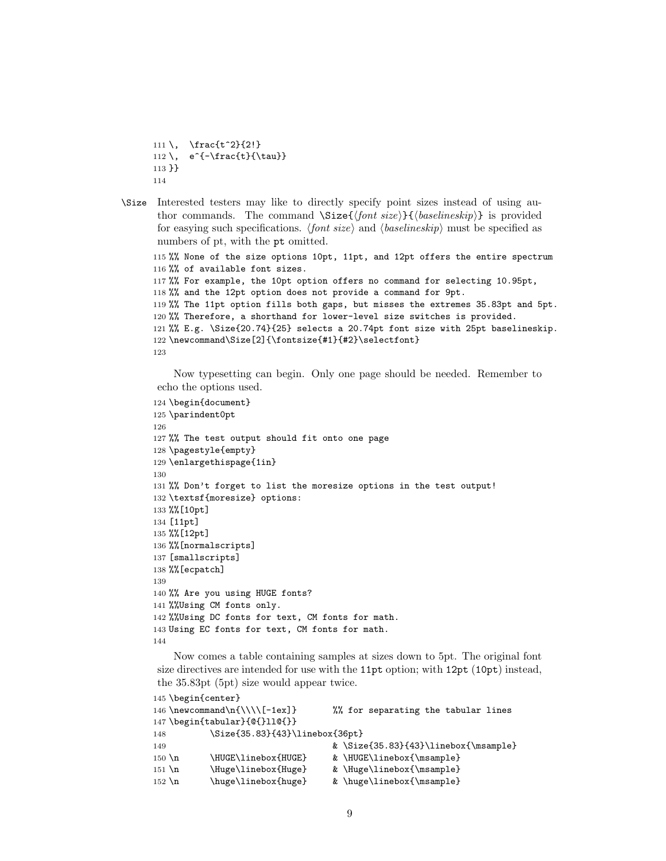```
111 \, \frac{t^2}{2!}
112 \, e^{-\frac{t}{\tau}}113 }}
114
```
\Size Interested testers may like to directly specify point sizes instead of using author commands. The command  $\Sigma = {\{font size\}} {\{baselineskip}\}$  is provided for easying such specifications. (font size) and  $\langle \text{baseline} \text{skip} \rangle$  must be specified as numbers of pt, with the pt omitted.

```
115 %% None of the size options 10pt, 11pt, and 12pt offers the entire spectrum
116 %% of available font sizes.
117 %% For example, the 10pt option offers no command for selecting 10.95pt,
118 %% and the 12pt option does not provide a command for 9pt.
119 %% The 11pt option fills both gaps, but misses the extremes 35.83pt and 5pt.
120 %% Therefore, a shorthand for lower-level size switches is provided.
121 %% E.g. \Size{20.74}{25} selects a 20.74pt font size with 25pt baselineskip.
122 \newcommand\Size[2]{\fontsize{#1}{#2}\selectfont}
123
```
Now typesetting can begin. Only one page should be needed. Remember to echo the options used.

```
124 \begin{document}
125 \parindent0pt
126
127 %% The test output should fit onto one page
128 \pagestyle{empty}
129 \enlargethispage{1in}
130
131 %% Don't forget to list the moresize options in the test output!
132 \textsf{moresize} options:
133 %%[10pt]
134 [11pt]
135 %%[12pt]
136 %%[normalscripts]
137 [smallscripts]
138 %%[ecpatch]
139
140 %% Are you using HUGE fonts?
141 %%Using CM fonts only.
142 %%Using DC fonts for text, CM fonts for math.
143 Using EC fonts for text, CM fonts for math.
144
```
Now comes a table containing samples at sizes down to 5pt. The original font size directives are intended for use with the 11pt option; with 12pt (10pt) instead, the 35.83pt (5pt) size would appear twice.

```
145 \begin{center}
146 \newcommand\n{\\\\[-1ex]} %% for separating the tabular lines
147 \begin{tabular}{@{}ll@{}}
148 \Size{35.83}{43}\linebox{36pt}
149 8 \Size{35.83}{43}\linebox{\msample}
150 \n \HUGE\linebox{HUGE} & \HUGE\linebox{\msample}
151 \n \Huge\linebox{Huge} & \Huge\linebox{\msample}
152 \n \huge\linebox{huge} & \huge\linebox{\msample}
```